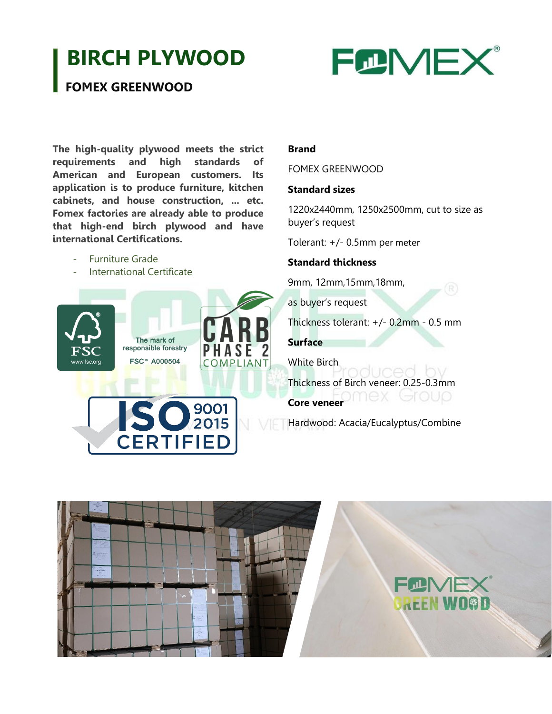## **BIRCH PLYWOOD**



## **FOMEX GREENWOOD**

**The high-quality plywood meets the strict requirements and high standards of American and European customers. Its application is to produce furniture, kitchen cabinets, and house construction, ... etc. Fomex factories are already able to produce that high-end birch plywood and have international Certifications.**

- Furniture Grade
- International Certificate



# **D** 9001 **CERTIFIED**

#### **Brand**

FOMEX GREENWOOD

#### **Standard sizes**

1220x2440mm, 1250x2500mm, cut to size as buyer's request

Tolerant: +/- 0.5mm per meter

#### **Standard thickness**

9mm, 12mm,15mm,18mm,

as buyer's request

Thickness tolerant: +/- 0.2mm - 0.5 mm

**Surface**

White Birch

Thickness of Birch veneer: 0.25-0.3mm

**Core veneer COMP** COUP

Hardwood: Acacia/Eucalyptus/Combine